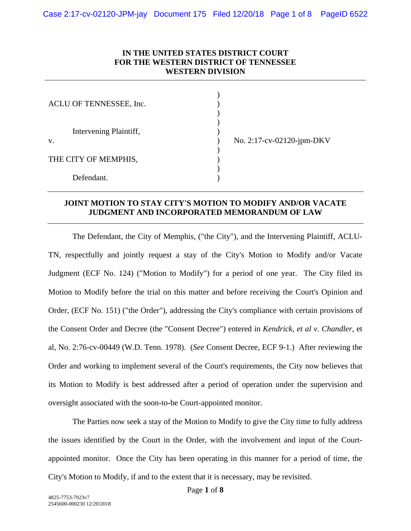## **IN THE UNITED STATES DISTRICT COURT FOR THE WESTERN DISTRICT OF TENNESSEE WESTERN DIVISION**

| ACLU OF TENNESSEE, Inc.           |  |
|-----------------------------------|--|
|                                   |  |
| Intervening Plaintiff,<br>$V_{-}$ |  |
|                                   |  |
|                                   |  |
| THE CITY OF MEMPHIS,              |  |
|                                   |  |
| Defendant.                        |  |

No. 2:17-cv-02120-jpm-DKV

## **JOINT MOTION TO STAY CITY'S MOTION TO MODIFY AND/OR VACATE JUDGMENT AND INCORPORATED MEMORANDUM OF LAW**

The Defendant, the City of Memphis, ("the City"), and the Intervening Plaintiff, ACLU-TN, respectfully and jointly request a stay of the City's Motion to Modify and/or Vacate Judgment (ECF No. 124) ("Motion to Modify") for a period of one year. The City filed its Motion to Modify before the trial on this matter and before receiving the Court's Opinion and Order, (ECF No. 151) ("the Order"), addressing the City's compliance with certain provisions of the Consent Order and Decree (the "Consent Decree") entered in *Kendrick, et al v. Chandler*, et al, No. 2:76-cv-00449 (W.D. Tenn. 1978). (*See* Consent Decree, ECF 9-1.) After reviewing the Order and working to implement several of the Court's requirements, the City now believes that its Motion to Modify is best addressed after a period of operation under the supervision and oversight associated with the soon-to-be Court-appointed monitor.

The Parties now seek a stay of the Motion to Modify to give the City time to fully address the issues identified by the Court in the Order, with the involvement and input of the Courtappointed monitor. Once the City has been operating in this manner for a period of time, the City's Motion to Modify, if and to the extent that it is necessary, may be revisited.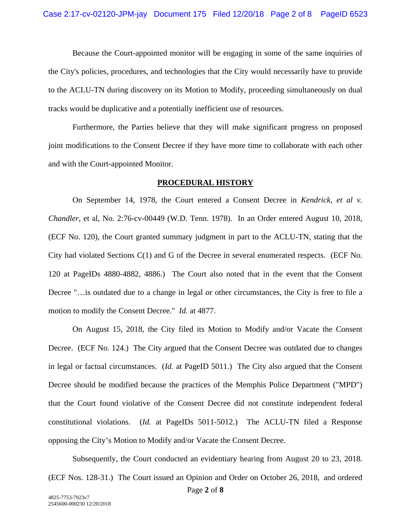Because the Court-appointed monitor will be engaging in some of the same inquiries of the City's policies, procedures, and technologies that the City would necessarily have to provide to the ACLU-TN during discovery on its Motion to Modify, proceeding simultaneously on dual tracks would be duplicative and a potentially inefficient use of resources.

Furthermore, the Parties believe that they will make significant progress on proposed joint modifications to the Consent Decree if they have more time to collaborate with each other and with the Court-appointed Monitor.

#### **PROCEDURAL HISTORY**

On September 14, 1978, the Court entered a Consent Decree in *Kendrick, et al v. Chandler*, et al, No. 2:76-cv-00449 (W.D. Tenn. 1978). In an Order entered August 10, 2018, (ECF No. 120), the Court granted summary judgment in part to the ACLU-TN, stating that the City had violated Sections C(1) and G of the Decree in several enumerated respects. (ECF No. 120 at PageIDs 4880-4882, 4886.) The Court also noted that in the event that the Consent Decree "…is outdated due to a change in legal or other circumstances, the City is free to file a motion to modify the Consent Decree." *Id.* at 4877.

On August 15, 2018, the City filed its Motion to Modify and/or Vacate the Consent Decree. (ECF No. 124.) The City argued that the Consent Decree was outdated due to changes in legal or factual circumstances. (*Id.* at PageID 5011.) The City also argued that the Consent Decree should be modified because the practices of the Memphis Police Department ("MPD") that the Court found violative of the Consent Decree did not constitute independent federal constitutional violations. (*Id.* at PageIDs 5011-5012.) The ACLU-TN filed a Response opposing the City's Motion to Modify and/or Vacate the Consent Decree.

Subsequently, the Court conducted an evidentiary hearing from August 20 to 23, 2018. (ECF Nos. 128-31.) The Court issued an Opinion and Order on October 26, 2018, and ordered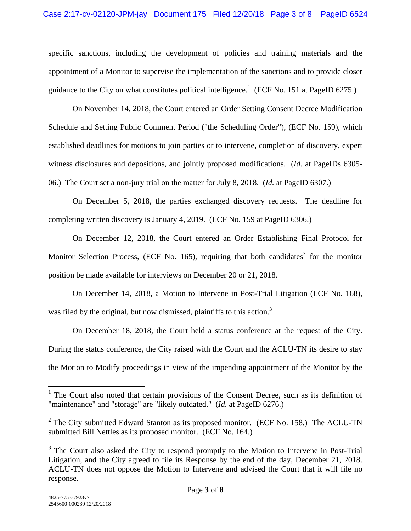specific sanctions, including the development of policies and training materials and the appointment of a Monitor to supervise the implementation of the sanctions and to provide closer guidance to the City on what constitutes political intelligence.<sup>1</sup> (ECF No. 151 at PageID 6275.)

On November 14, 2018, the Court entered an Order Setting Consent Decree Modification Schedule and Setting Public Comment Period ("the Scheduling Order"), (ECF No. 159), which established deadlines for motions to join parties or to intervene, completion of discovery, expert witness disclosures and depositions, and jointly proposed modifications. (*Id.* at PageIDs 6305- 06.) The Court set a non-jury trial on the matter for July 8, 2018. (*Id.* at PageID 6307.)

On December 5, 2018, the parties exchanged discovery requests. The deadline for completing written discovery is January 4, 2019. (ECF No. 159 at PageID 6306.)

On December 12, 2018, the Court entered an Order Establishing Final Protocol for Monitor Selection Process, (ECF No. 165), requiring that both candidates<sup>2</sup> for the monitor position be made available for interviews on December 20 or 21, 2018.

On December 14, 2018, a Motion to Intervene in Post-Trial Litigation (ECF No. 168), was filed by the original, but now dismissed, plaintiffs to this action.<sup>3</sup>

On December 18, 2018, the Court held a status conference at the request of the City. During the status conference, the City raised with the Court and the ACLU-TN its desire to stay the Motion to Modify proceedings in view of the impending appointment of the Monitor by the

 $\overline{a}$ 

<sup>&</sup>lt;sup>1</sup> The Court also noted that certain provisions of the Consent Decree, such as its definition of "maintenance" and "storage" are "likely outdated." (*Id.* at PageID 6276.)

<sup>&</sup>lt;sup>2</sup> The City submitted Edward Stanton as its proposed monitor. (ECF No. 158.) The ACLU-TN submitted Bill Nettles as its proposed monitor. (ECF No. 164.)

<sup>&</sup>lt;sup>3</sup> The Court also asked the City to respond promptly to the Motion to Intervene in Post-Trial Litigation, and the City agreed to file its Response by the end of the day, December 21, 2018. ACLU-TN does not oppose the Motion to Intervene and advised the Court that it will file no response.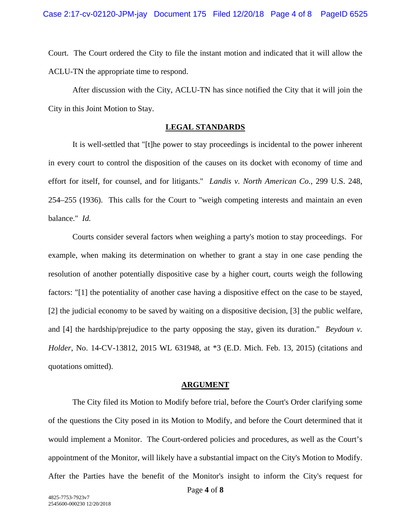Court. The Court ordered the City to file the instant motion and indicated that it will allow the ACLU-TN the appropriate time to respond.

After discussion with the City, ACLU-TN has since notified the City that it will join the City in this Joint Motion to Stay.

# **LEGAL STANDARDS**

It is well-settled that "[t]he power to stay proceedings is incidental to the power inherent in every court to control the disposition of the causes on its docket with economy of time and effort for itself, for counsel, and for litigants." *Landis v. North American Co.*, 299 U.S. 248, 254–255 (1936). This calls for the Court to "weigh competing interests and maintain an even balance." *Id.*

Courts consider several factors when weighing a party's motion to stay proceedings. For example, when making its determination on whether to grant a stay in one case pending the resolution of another potentially dispositive case by a higher court, courts weigh the following factors: "[1] the potentiality of another case having a dispositive effect on the case to be stayed, [2] the judicial economy to be saved by waiting on a dispositive decision, [3] the public welfare, and [4] the hardship/prejudice to the party opposing the stay, given its duration." *Beydoun v. Holder*, No. 14-CV-13812, 2015 WL 631948, at \*3 (E.D. Mich. Feb. 13, 2015) (citations and quotations omitted).

#### **ARGUMENT**

The City filed its Motion to Modify before trial, before the Court's Order clarifying some of the questions the City posed in its Motion to Modify, and before the Court determined that it would implement a Monitor. The Court-ordered policies and procedures, as well as the Court's appointment of the Monitor, will likely have a substantial impact on the City's Motion to Modify. After the Parties have the benefit of the Monitor's insight to inform the City's request for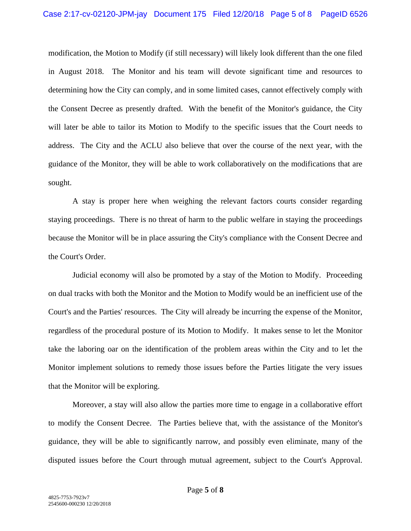modification, the Motion to Modify (if still necessary) will likely look different than the one filed in August 2018. The Monitor and his team will devote significant time and resources to determining how the City can comply, and in some limited cases, cannot effectively comply with the Consent Decree as presently drafted. With the benefit of the Monitor's guidance, the City will later be able to tailor its Motion to Modify to the specific issues that the Court needs to address. The City and the ACLU also believe that over the course of the next year, with the guidance of the Monitor, they will be able to work collaboratively on the modifications that are sought.

A stay is proper here when weighing the relevant factors courts consider regarding staying proceedings. There is no threat of harm to the public welfare in staying the proceedings because the Monitor will be in place assuring the City's compliance with the Consent Decree and the Court's Order.

Judicial economy will also be promoted by a stay of the Motion to Modify. Proceeding on dual tracks with both the Monitor and the Motion to Modify would be an inefficient use of the Court's and the Parties' resources. The City will already be incurring the expense of the Monitor, regardless of the procedural posture of its Motion to Modify. It makes sense to let the Monitor take the laboring oar on the identification of the problem areas within the City and to let the Monitor implement solutions to remedy those issues before the Parties litigate the very issues that the Monitor will be exploring.

Moreover, a stay will also allow the parties more time to engage in a collaborative effort to modify the Consent Decree. The Parties believe that, with the assistance of the Monitor's guidance, they will be able to significantly narrow, and possibly even eliminate, many of the disputed issues before the Court through mutual agreement, subject to the Court's Approval.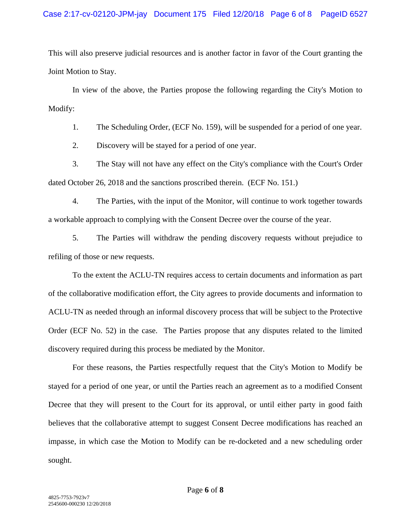## Case 2:17-cv-02120-JPM-jay Document 175 Filed 12/20/18 Page 6 of 8 PageID 6527

This will also preserve judicial resources and is another factor in favor of the Court granting the Joint Motion to Stay.

In view of the above, the Parties propose the following regarding the City's Motion to Modify:

1. The Scheduling Order, (ECF No. 159), will be suspended for a period of one year.

2. Discovery will be stayed for a period of one year.

3. The Stay will not have any effect on the City's compliance with the Court's Order dated October 26, 2018 and the sanctions proscribed therein. (ECF No. 151.)

4. The Parties, with the input of the Monitor, will continue to work together towards a workable approach to complying with the Consent Decree over the course of the year.

5. The Parties will withdraw the pending discovery requests without prejudice to refiling of those or new requests.

To the extent the ACLU-TN requires access to certain documents and information as part of the collaborative modification effort, the City agrees to provide documents and information to ACLU-TN as needed through an informal discovery process that will be subject to the Protective Order (ECF No. 52) in the case. The Parties propose that any disputes related to the limited discovery required during this process be mediated by the Monitor.

For these reasons, the Parties respectfully request that the City's Motion to Modify be stayed for a period of one year, or until the Parties reach an agreement as to a modified Consent Decree that they will present to the Court for its approval, or until either party in good faith believes that the collaborative attempt to suggest Consent Decree modifications has reached an impasse, in which case the Motion to Modify can be re-docketed and a new scheduling order sought.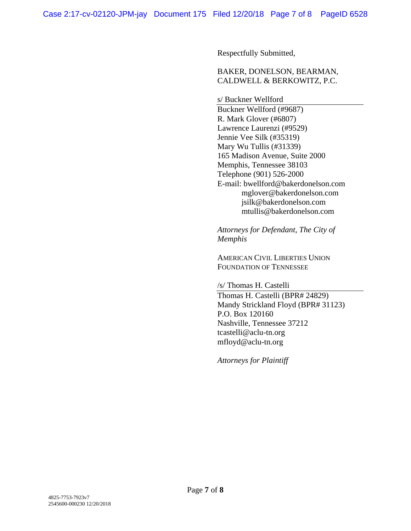Respectfully Submitted,

## BAKER, DONELSON, BEARMAN, CALDWELL & BERKOWITZ, P.C.

s/ Buckner Wellford

Buckner Wellford (#9687) R. Mark Glover (#6807) Lawrence Laurenzi (#9529) Jennie Vee Silk (#35319) Mary Wu Tullis (#31339) 165 Madison Avenue, Suite 2000 Memphis, Tennessee 38103 Telephone (901) 526-2000 E-mail: bwellford@bakerdonelson.com mglover@bakerdonelson.com jsilk@bakerdonelson.com mtullis@bakerdonelson.com

*Attorneys for Defendant, The City of Memphis* 

AMERICAN CIVIL LIBERTIES UNION FOUNDATION OF TENNESSEE

/s/ Thomas H. Castelli Thomas H. Castelli (BPR# 24829) Mandy Strickland Floyd (BPR# 31123) P.O. Box 120160 Nashville, Tennessee 37212 tcastelli@aclu-tn.org mfloyd@aclu-tn.org

*Attorneys for Plaintiff*